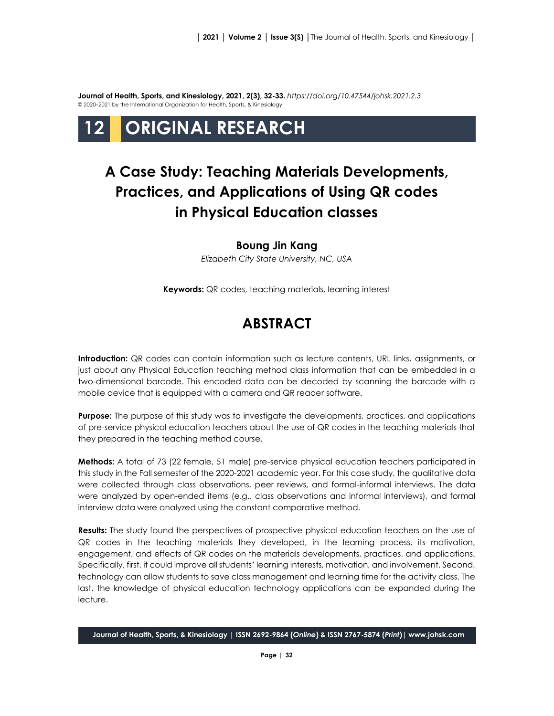**Journal of Health, Sports, and Kinesiology, 2021, 2(3), 32-33.** *<https://doi.org/10.47544/johsk.2021.2.3>* © 2020–2021 by the International Organization for Health, Sports, & Kinesiology

# **12 ORIGINAL RESEARCH**

## **A Case Study: Teaching Materials Developments, Practices, and Applications of Using QR codes in Physical Education classes**

#### **Boung Jin Kang**

*Elizabeth City State University, NC, USA*

**Keywords:** QR codes, teaching materials, learning interest

### **ABSTRACT**

**Introduction:** QR codes can contain information such as lecture contents, URL links, assignments, or just about any Physical Education teaching method class information that can be embedded in a two-dimensional barcode. This encoded data can be decoded by scanning the barcode with a mobile device that is equipped with a camera and QR reader software.

**Purpose:** The purpose of this study was to investigate the developments, practices, and applications of pre-service physical education teachers about the use of QR codes in the teaching materials that they prepared in the teaching method course.

**Methods:** A total of 73 (22 female, 51 male) pre-service physical education teachers participated in this study in the Fall semester of the 2020-2021 academic year. For this case study, the qualitative data were collected through class observations, peer reviews, and formal-informal interviews. The data were analyzed by open-ended items (e.g., class observations and informal interviews), and formal interview data were analyzed using the constant comparative method.

**Results:** The study found the perspectives of prospective physical education teachers on the use of QR codes in the teaching materials they developed, in the learning process, its motivation, engagement, and effects of QR codes on the materials developments, practices, and applications. Specifically, first, it could improve all students' learning interests, motivation, and involvement. Second, technology can allow students to save class management and learning time for the activity class. The last, the knowledge of physical education technology applications can be expanded during the lecture.